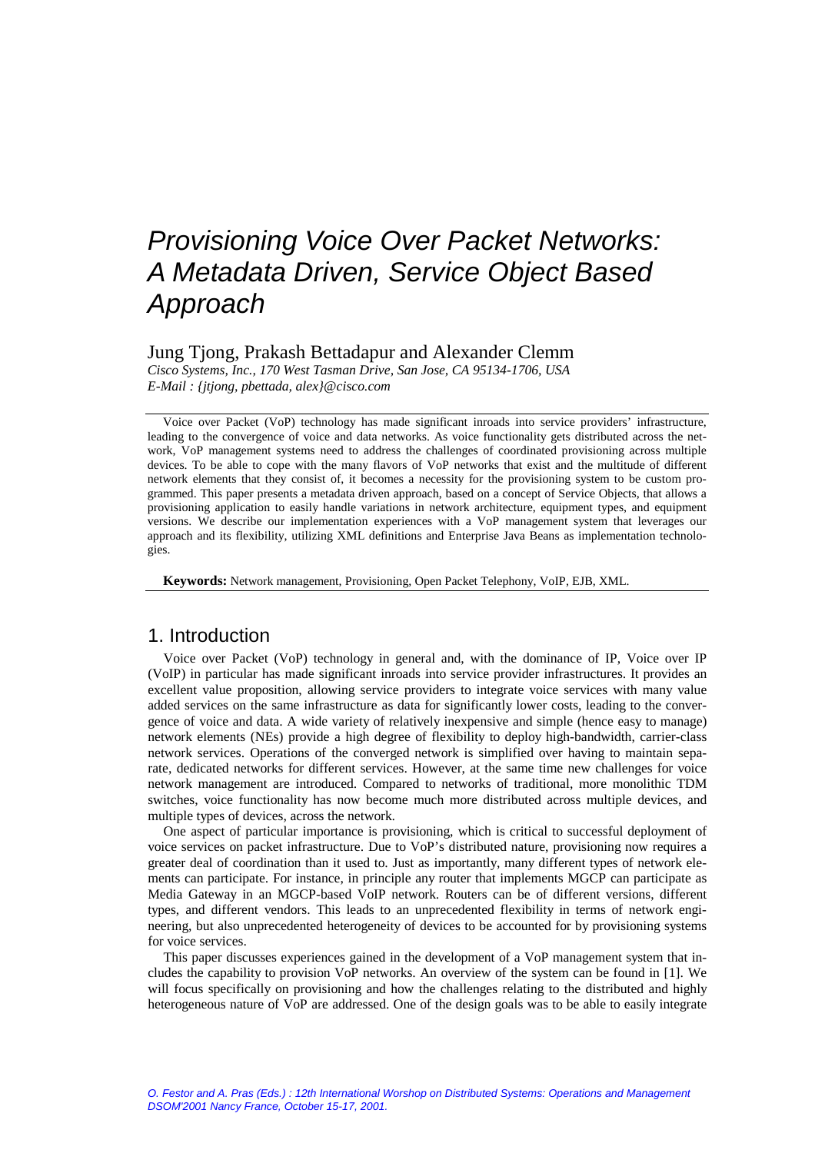# Jung Tjong, Prakash Bettadapur and Alexander Clemm

*Cisco Systems, Inc., 170 West Tasman Drive, San Jose, CA 95134-1706, USA E-Mail : {jtjong, pbettada, alex}@cisco.com* 

Voice over Packet (VoP) technology has made significant inroads into service providers' infrastructure, leading to the convergence of voice and data networks. As voice functionality gets distributed across the network, VoP management systems need to address the challenges of coordinated provisioning across multiple devices. To be able to cope with the many flavors of VoP networks that exist and the multitude of different network elements that they consist of, it becomes a necessity for the provisioning system to be custom programmed. This paper presents a metadata driven approach, based on a concept of Service Objects, that allows a provisioning application to easily handle variations in network architecture, equipment types, and equipment versions. We describe our implementation experiences with a VoP management system that leverages our approach and its flexibility, utilizing XML definitions and Enterprise Java Beans as implementation technologies.

**Keywords:** Network management, Provisioning, Open Packet Telephony, VoIP, EJB, XML.

# 1. Introduction

Voice over Packet (VoP) technology in general and, with the dominance of IP, Voice over IP (VoIP) in particular has made significant inroads into service provider infrastructures. It provides an excellent value proposition, allowing service providers to integrate voice services with many value added services on the same infrastructure as data for significantly lower costs, leading to the convergence of voice and data. A wide variety of relatively inexpensive and simple (hence easy to manage) network elements (NEs) provide a high degree of flexibility to deploy high-bandwidth, carrier-class network services. Operations of the converged network is simplified over having to maintain separate, dedicated networks for different services. However, at the same time new challenges for voice network management are introduced. Compared to networks of traditional, more monolithic TDM switches, voice functionality has now become much more distributed across multiple devices, and multiple types of devices, across the network.

One aspect of particular importance is provisioning, which is critical to successful deployment of voice services on packet infrastructure. Due to VoP's distributed nature, provisioning now requires a greater deal of coordination than it used to. Just as importantly, many different types of network elements can participate. For instance, in principle any router that implements MGCP can participate as Media Gateway in an MGCP-based VoIP network. Routers can be of different versions, different types, and different vendors. This leads to an unprecedented flexibility in terms of network engineering, but also unprecedented heterogeneity of devices to be accounted for by provisioning systems for voice services.

This paper discusses experiences gained in the development of a VoP management system that includes the capability to provision VoP networks. An overview of the system can be found in [1]. We will focus specifically on provisioning and how the challenges relating to the distributed and highly heterogeneous nature of VoP are addressed. One of the design goals was to be able to easily integrate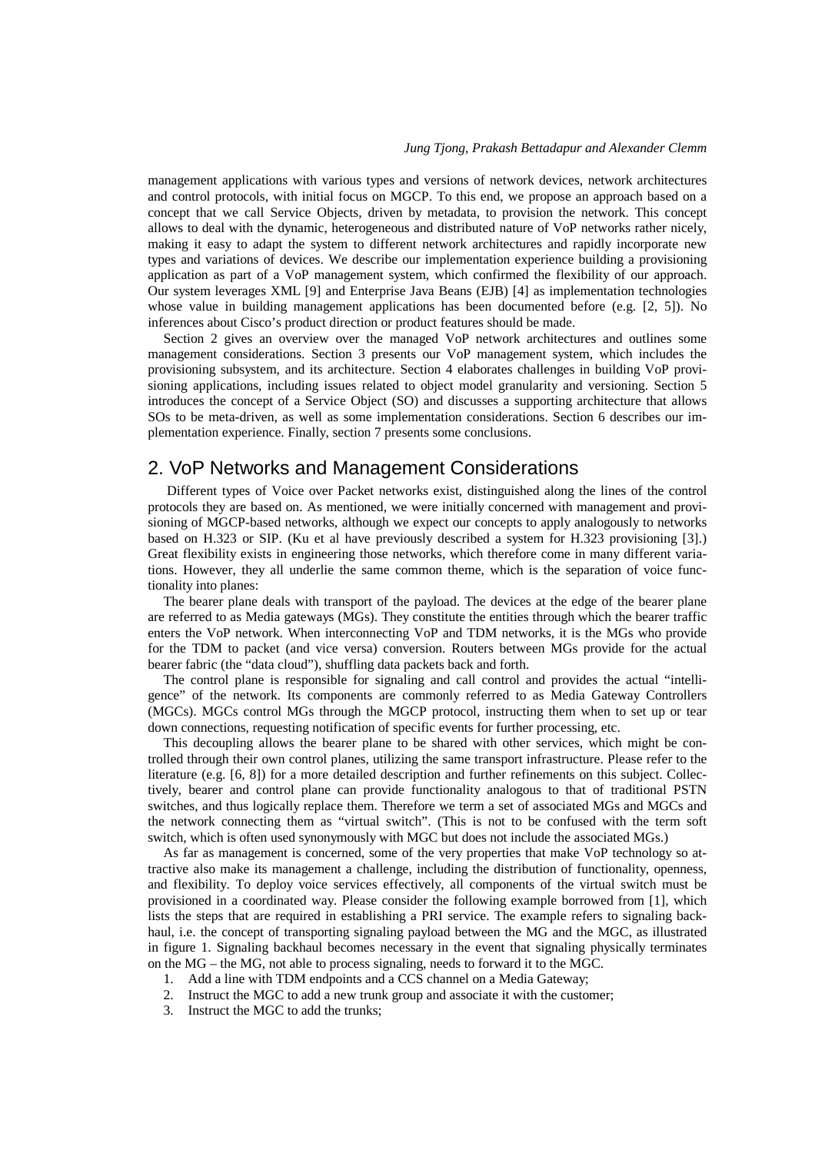management applications with various types and versions of network devices, network architectures and control protocols, with initial focus on MGCP. To this end, we propose an approach based on a concept that we call Service Objects, driven by metadata, to provision the network. This concept allows to deal with the dynamic, heterogeneous and distributed nature of VoP networks rather nicely, making it easy to adapt the system to different network architectures and rapidly incorporate new types and variations of devices. We describe our implementation experience building a provisioning application as part of a VoP management system, which confirmed the flexibility of our approach. Our system leverages XML [9] and Enterprise Java Beans (EJB) [4] as implementation technologies whose value in building management applications has been documented before (e.g. [2, 5]). No inferences about Cisco's product direction or product features should be made.

Section 2 gives an overview over the managed VoP network architectures and outlines some management considerations. Section 3 presents our VoP management system, which includes the provisioning subsystem, and its architecture. Section 4 elaborates challenges in building VoP provisioning applications, including issues related to object model granularity and versioning. Section 5 introduces the concept of a Service Object (SO) and discusses a supporting architecture that allows SOs to be meta-driven, as well as some implementation considerations. Section 6 describes our implementation experience. Finally, section 7 presents some conclusions.

# 2. VoP Networks and Management Considerations

 Different types of Voice over Packet networks exist, distinguished along the lines of the control protocols they are based on. As mentioned, we were initially concerned with management and provisioning of MGCP-based networks, although we expect our concepts to apply analogously to networks based on H.323 or SIP. (Ku et al have previously described a system for H.323 provisioning [3].) Great flexibility exists in engineering those networks, which therefore come in many different variations. However, they all underlie the same common theme, which is the separation of voice functionality into planes:

The bearer plane deals with transport of the payload. The devices at the edge of the bearer plane are referred to as Media gateways (MGs). They constitute the entities through which the bearer traffic enters the VoP network. When interconnecting VoP and TDM networks, it is the MGs who provide for the TDM to packet (and vice versa) conversion. Routers between MGs provide for the actual bearer fabric (the "data cloud"), shuffling data packets back and forth.

The control plane is responsible for signaling and call control and provides the actual "intelligence" of the network. Its components are commonly referred to as Media Gateway Controllers (MGCs). MGCs control MGs through the MGCP protocol, instructing them when to set up or tear down connections, requesting notification of specific events for further processing, etc.

This decoupling allows the bearer plane to be shared with other services, which might be controlled through their own control planes, utilizing the same transport infrastructure. Please refer to the literature (e.g. [6, 8]) for a more detailed description and further refinements on this subject. Collectively, bearer and control plane can provide functionality analogous to that of traditional PSTN switches, and thus logically replace them. Therefore we term a set of associated MGs and MGCs and the network connecting them as "virtual switch". (This is not to be confused with the term soft switch, which is often used synonymously with MGC but does not include the associated MGs.)

As far as management is concerned, some of the very properties that make VoP technology so attractive also make its management a challenge, including the distribution of functionality, openness, and flexibility. To deploy voice services effectively, all components of the virtual switch must be provisioned in a coordinated way. Please consider the following example borrowed from [1], which lists the steps that are required in establishing a PRI service. The example refers to signaling backhaul, i.e. the concept of transporting signaling payload between the MG and the MGC, as illustrated in figure 1. Signaling backhaul becomes necessary in the event that signaling physically terminates on the MG – the MG, not able to process signaling, needs to forward it to the MGC.

- 1. Add a line with TDM endpoints and a CCS channel on a Media Gateway;
- 2. Instruct the MGC to add a new trunk group and associate it with the customer;
- 3. Instruct the MGC to add the trunks;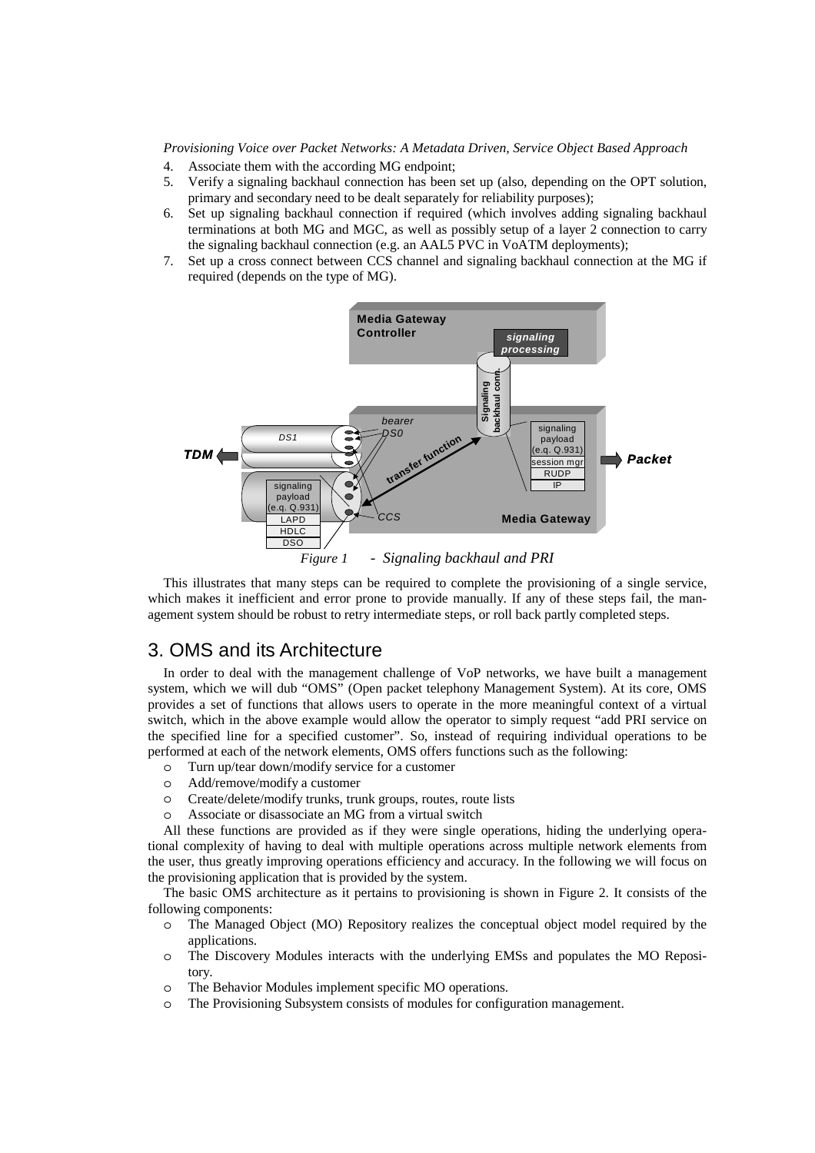- 4. Associate them with the according MG endpoint;
- 5. Verify a signaling backhaul connection has been set up (also, depending on the OPT solution, primary and secondary need to be dealt separately for reliability purposes);
- 6. Set up signaling backhaul connection if required (which involves adding signaling backhaul terminations at both MG and MGC, as well as possibly setup of a layer 2 connection to carry the signaling backhaul connection (e.g. an AAL5 PVC in VoATM deployments);
- 7. Set up a cross connect between CCS channel and signaling backhaul connection at the MG if required (depends on the type of MG).



*Figure 1 - Signaling backhaul and PRI*

This illustrates that many steps can be required to complete the provisioning of a single service, which makes it inefficient and error prone to provide manually. If any of these steps fail, the management system should be robust to retry intermediate steps, or roll back partly completed steps.

# 3. OMS and its Architecture

In order to deal with the management challenge of VoP networks, we have built a management system, which we will dub "OMS" (Open packet telephony Management System). At its core, OMS provides a set of functions that allows users to operate in the more meaningful context of a virtual switch, which in the above example would allow the operator to simply request "add PRI service on the specified line for a specified customer". So, instead of requiring individual operations to be performed at each of the network elements, OMS offers functions such as the following:

- o Turn up/tear down/modify service for a customer
- o Add/remove/modify a customer
- o Create/delete/modify trunks, trunk groups, routes, route lists
- o Associate or disassociate an MG from a virtual switch

All these functions are provided as if they were single operations, hiding the underlying operational complexity of having to deal with multiple operations across multiple network elements from the user, thus greatly improving operations efficiency and accuracy. In the following we will focus on the provisioning application that is provided by the system.

The basic OMS architecture as it pertains to provisioning is shown in Figure 2. It consists of the following components:

- o The Managed Object (MO) Repository realizes the conceptual object model required by the applications.
- o The Discovery Modules interacts with the underlying EMSs and populates the MO Repository.
- o The Behavior Modules implement specific MO operations.
- o The Provisioning Subsystem consists of modules for configuration management.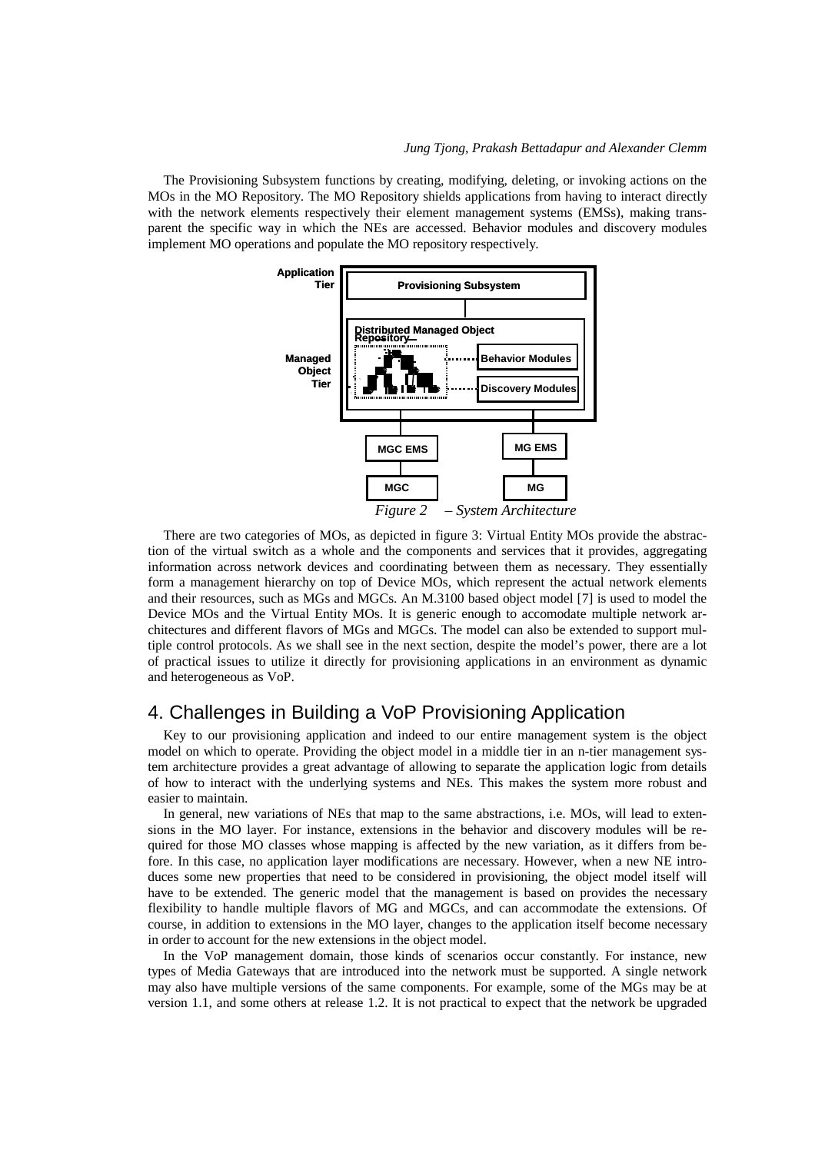The Provisioning Subsystem functions by creating, modifying, deleting, or invoking actions on the MOs in the MO Repository. The MO Repository shields applications from having to interact directly with the network elements respectively their element management systems (EMSs), making transparent the specific way in which the NEs are accessed. Behavior modules and discovery modules implement MO operations and populate the MO repository respectively.



There are two categories of MOs, as depicted in figure 3: Virtual Entity MOs provide the abstraction of the virtual switch as a whole and the components and services that it provides, aggregating information across network devices and coordinating between them as necessary. They essentially form a management hierarchy on top of Device MOs, which represent the actual network elements and their resources, such as MGs and MGCs. An M.3100 based object model [7] is used to model the Device MOs and the Virtual Entity MOs. It is generic enough to accomodate multiple network architectures and different flavors of MGs and MGCs. The model can also be extended to support multiple control protocols. As we shall see in the next section, despite the model's power, there are a lot of practical issues to utilize it directly for provisioning applications in an environment as dynamic and heterogeneous as VoP.

# 4. Challenges in Building a VoP Provisioning Application

Key to our provisioning application and indeed to our entire management system is the object model on which to operate. Providing the object model in a middle tier in an n-tier management system architecture provides a great advantage of allowing to separate the application logic from details of how to interact with the underlying systems and NEs. This makes the system more robust and easier to maintain.

In general, new variations of NEs that map to the same abstractions, i.e. MOs, will lead to extensions in the MO layer. For instance, extensions in the behavior and discovery modules will be required for those MO classes whose mapping is affected by the new variation, as it differs from before. In this case, no application layer modifications are necessary. However, when a new NE introduces some new properties that need to be considered in provisioning, the object model itself will have to be extended. The generic model that the management is based on provides the necessary flexibility to handle multiple flavors of MG and MGCs, and can accommodate the extensions. Of course, in addition to extensions in the MO layer, changes to the application itself become necessary in order to account for the new extensions in the object model.

In the VoP management domain, those kinds of scenarios occur constantly. For instance, new types of Media Gateways that are introduced into the network must be supported. A single network may also have multiple versions of the same components. For example, some of the MGs may be at version 1.1, and some others at release 1.2. It is not practical to expect that the network be upgraded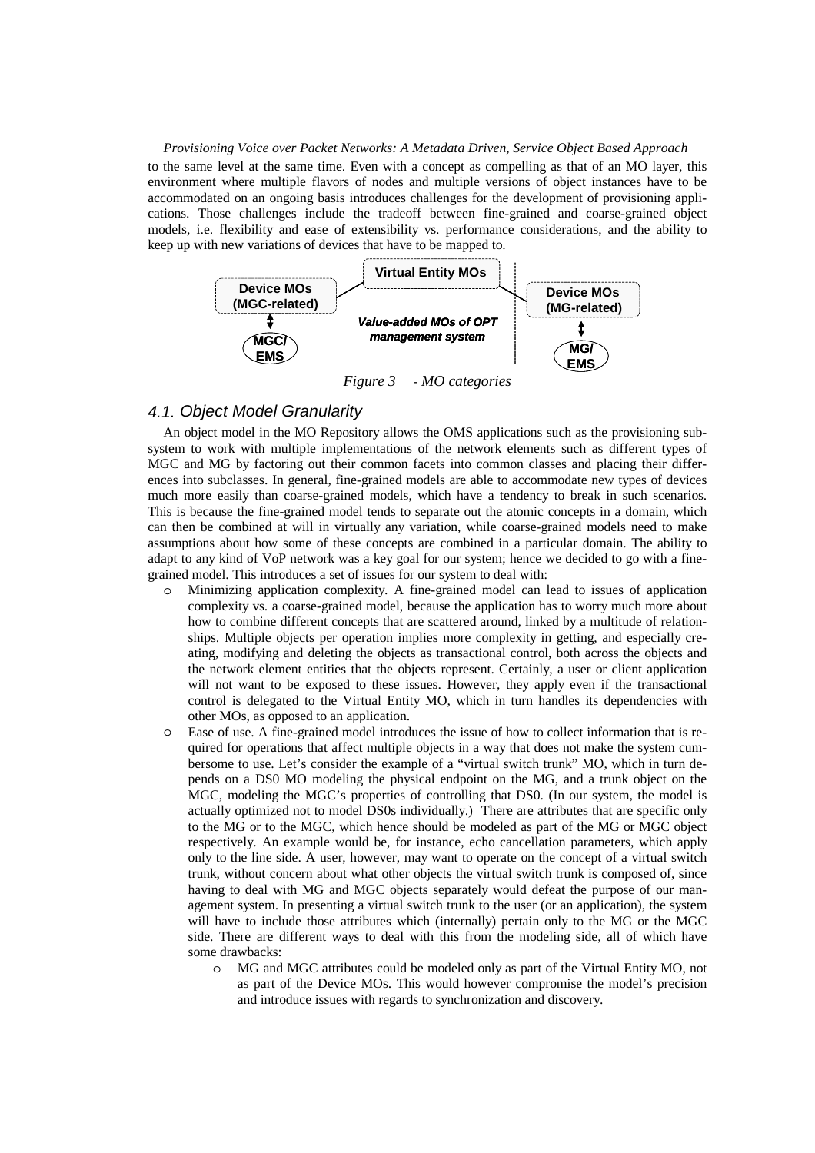to the same level at the same time. Even with a concept as compelling as that of an MO layer, this environment where multiple flavors of nodes and multiple versions of object instances have to be accommodated on an ongoing basis introduces challenges for the development of provisioning applications. Those challenges include the tradeoff between fine-grained and coarse-grained object models, i.e. flexibility and ease of extensibility vs. performance considerations, and the ability to keep up with new variations of devices that have to be mapped to.



# *4.1. Object Model Granularity*

An object model in the MO Repository allows the OMS applications such as the provisioning subsystem to work with multiple implementations of the network elements such as different types of MGC and MG by factoring out their common facets into common classes and placing their differences into subclasses. In general, fine-grained models are able to accommodate new types of devices much more easily than coarse-grained models, which have a tendency to break in such scenarios. This is because the fine-grained model tends to separate out the atomic concepts in a domain, which can then be combined at will in virtually any variation, while coarse-grained models need to make assumptions about how some of these concepts are combined in a particular domain. The ability to adapt to any kind of VoP network was a key goal for our system; hence we decided to go with a finegrained model. This introduces a set of issues for our system to deal with:

- Minimizing application complexity. A fine-grained model can lead to issues of application complexity vs. a coarse-grained model, because the application has to worry much more about how to combine different concepts that are scattered around, linked by a multitude of relationships. Multiple objects per operation implies more complexity in getting, and especially creating, modifying and deleting the objects as transactional control, both across the objects and the network element entities that the objects represent. Certainly, a user or client application will not want to be exposed to these issues. However, they apply even if the transactional control is delegated to the Virtual Entity MO, which in turn handles its dependencies with other MOs, as opposed to an application.
- o Ease of use. A fine-grained model introduces the issue of how to collect information that is required for operations that affect multiple objects in a way that does not make the system cumbersome to use. Let's consider the example of a "virtual switch trunk" MO, which in turn depends on a DS0 MO modeling the physical endpoint on the MG, and a trunk object on the MGC, modeling the MGC's properties of controlling that DS0. (In our system, the model is actually optimized not to model DS0s individually.) There are attributes that are specific only to the MG or to the MGC, which hence should be modeled as part of the MG or MGC object respectively. An example would be, for instance, echo cancellation parameters, which apply only to the line side. A user, however, may want to operate on the concept of a virtual switch trunk, without concern about what other objects the virtual switch trunk is composed of, since having to deal with MG and MGC objects separately would defeat the purpose of our management system. In presenting a virtual switch trunk to the user (or an application), the system will have to include those attributes which (internally) pertain only to the MG or the MGC side. There are different ways to deal with this from the modeling side, all of which have some drawbacks:
	- o MG and MGC attributes could be modeled only as part of the Virtual Entity MO, not as part of the Device MOs. This would however compromise the model's precision and introduce issues with regards to synchronization and discovery.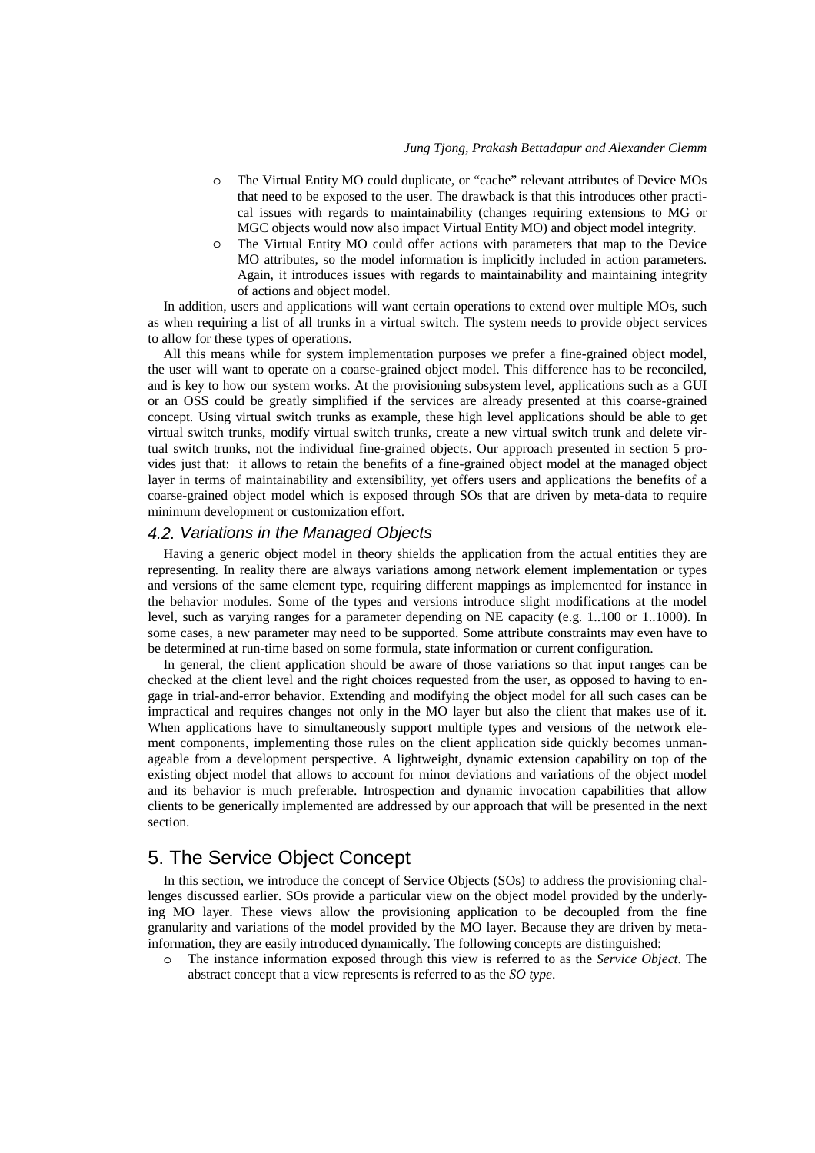- o The Virtual Entity MO could duplicate, or "cache" relevant attributes of Device MOs that need to be exposed to the user. The drawback is that this introduces other practical issues with regards to maintainability (changes requiring extensions to MG or MGC objects would now also impact Virtual Entity MO) and object model integrity.
- o The Virtual Entity MO could offer actions with parameters that map to the Device MO attributes, so the model information is implicitly included in action parameters. Again, it introduces issues with regards to maintainability and maintaining integrity of actions and object model.

In addition, users and applications will want certain operations to extend over multiple MOs, such as when requiring a list of all trunks in a virtual switch. The system needs to provide object services to allow for these types of operations.

All this means while for system implementation purposes we prefer a fine-grained object model, the user will want to operate on a coarse-grained object model. This difference has to be reconciled, and is key to how our system works. At the provisioning subsystem level, applications such as a GUI or an OSS could be greatly simplified if the services are already presented at this coarse-grained concept. Using virtual switch trunks as example, these high level applications should be able to get virtual switch trunks, modify virtual switch trunks, create a new virtual switch trunk and delete virtual switch trunks, not the individual fine-grained objects. Our approach presented in section 5 provides just that: it allows to retain the benefits of a fine-grained object model at the managed object layer in terms of maintainability and extensibility, yet offers users and applications the benefits of a coarse-grained object model which is exposed through SOs that are driven by meta-data to require minimum development or customization effort.

#### *4.2. Variations in the Managed Objects*

Having a generic object model in theory shields the application from the actual entities they are representing. In reality there are always variations among network element implementation or types and versions of the same element type, requiring different mappings as implemented for instance in the behavior modules. Some of the types and versions introduce slight modifications at the model level, such as varying ranges for a parameter depending on NE capacity (e.g. 1..100 or 1..1000). In some cases, a new parameter may need to be supported. Some attribute constraints may even have to be determined at run-time based on some formula, state information or current configuration.

In general, the client application should be aware of those variations so that input ranges can be checked at the client level and the right choices requested from the user, as opposed to having to engage in trial-and-error behavior. Extending and modifying the object model for all such cases can be impractical and requires changes not only in the MO layer but also the client that makes use of it. When applications have to simultaneously support multiple types and versions of the network element components, implementing those rules on the client application side quickly becomes unmanageable from a development perspective. A lightweight, dynamic extension capability on top of the existing object model that allows to account for minor deviations and variations of the object model and its behavior is much preferable. Introspection and dynamic invocation capabilities that allow clients to be generically implemented are addressed by our approach that will be presented in the next section.

# 5. The Service Object Concept

In this section, we introduce the concept of Service Objects (SOs) to address the provisioning challenges discussed earlier. SOs provide a particular view on the object model provided by the underlying MO layer. These views allow the provisioning application to be decoupled from the fine granularity and variations of the model provided by the MO layer. Because they are driven by metainformation, they are easily introduced dynamically. The following concepts are distinguished:

o The instance information exposed through this view is referred to as the *Service Object*. The abstract concept that a view represents is referred to as the *SO type*.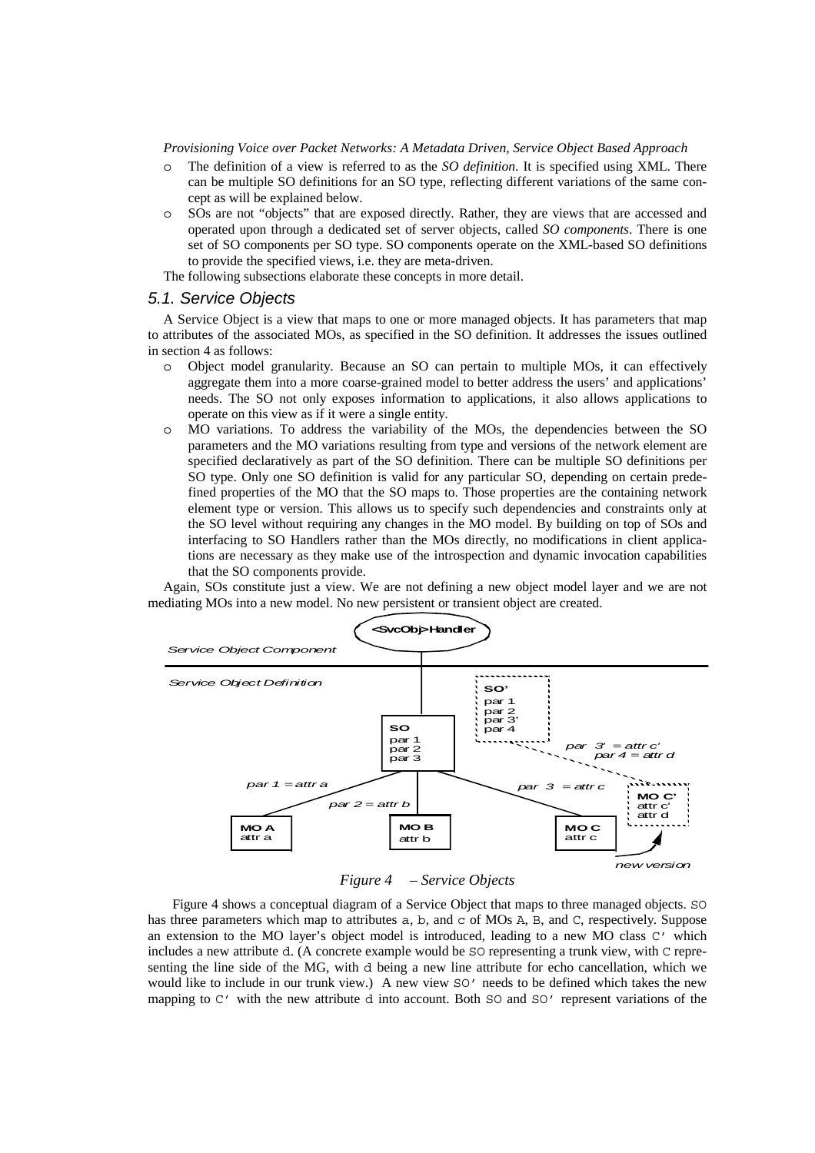- o The definition of a view is referred to as the *SO definition*. It is specified using XML. There can be multiple SO definitions for an SO type, reflecting different variations of the same concept as will be explained below.
- o SOs are not "objects" that are exposed directly. Rather, they are views that are accessed and operated upon through a dedicated set of server objects, called *SO components*. There is one set of SO components per SO type. SO components operate on the XML-based SO definitions to provide the specified views, i.e. they are meta-driven.

The following subsections elaborate these concepts in more detail.

#### *5.1. Service Objects*

A Service Object is a view that maps to one or more managed objects. It has parameters that map to attributes of the associated MOs, as specified in the SO definition. It addresses the issues outlined in section 4 as follows:

- o Object model granularity. Because an SO can pertain to multiple MOs, it can effectively aggregate them into a more coarse-grained model to better address the users' and applications' needs. The SO not only exposes information to applications, it also allows applications to operate on this view as if it were a single entity.
- o MO variations. To address the variability of the MOs, the dependencies between the SO parameters and the MO variations resulting from type and versions of the network element are specified declaratively as part of the SO definition. There can be multiple SO definitions per SO type. Only one SO definition is valid for any particular SO, depending on certain predefined properties of the MO that the SO maps to. Those properties are the containing network element type or version. This allows us to specify such dependencies and constraints only at the SO level without requiring any changes in the MO model. By building on top of SOs and interfacing to SO Handlers rather than the MOs directly, no modifications in client applications are necessary as they make use of the introspection and dynamic invocation capabilities that the SO components provide.

Again, SOs constitute just a view. We are not defining a new object model layer and we are not mediating MOs into a new model. No new persistent or transient object are created.



*Figure 4 – Service Objects* 

Figure 4 shows a conceptual diagram of a Service Object that maps to three managed objects. SO has three parameters which map to attributes a, b, and c of MOs A, B, and C, respectively. Suppose an extension to the MO layer's object model is introduced, leading to a new MO class C' which includes a new attribute d. (A concrete example would be SO representing a trunk view, with C representing the line side of the MG, with d being a new line attribute for echo cancellation, which we would like to include in our trunk view.) A new view SO' needs to be defined which takes the new mapping to  $C'$  with the new attribute d into account. Both  $SO$  and  $SO'$  represent variations of the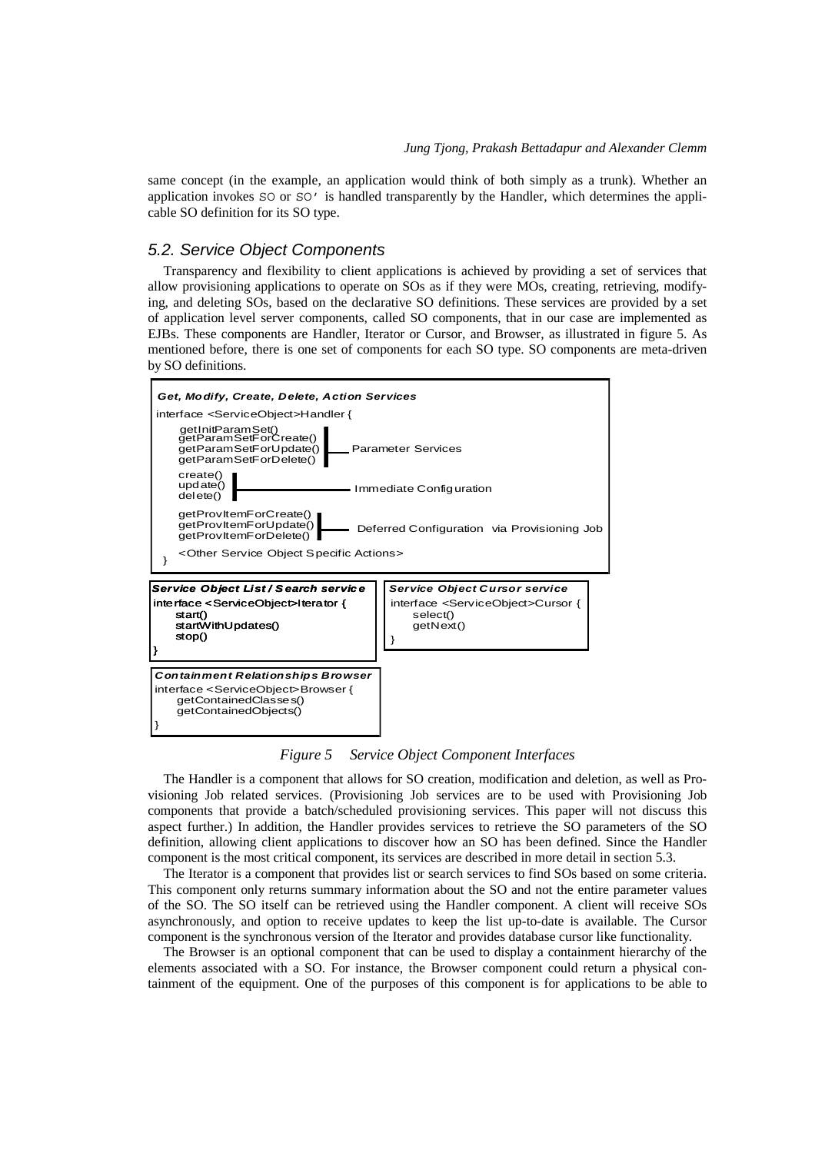same concept (in the example, an application would think of both simply as a trunk). Whether an application invokes SO or SO' is handled transparently by the Handler, which determines the applicable SO definition for its SO type.

#### *5.2. Service Object Components*

Transparency and flexibility to client applications is achieved by providing a set of services that allow provisioning applications to operate on SOs as if they were MOs, creating, retrieving, modifying, and deleting SOs, based on the declarative SO definitions. These services are provided by a set of application level server components, called SO components, that in our case are implemented as EJBs. These components are Handler, Iterator or Cursor, and Browser, as illustrated in figure 5. As mentioned before, there is one set of components for each SO type. SO components are meta-driven by SO definitions.



*Figure 5 Service Object Component Interfaces* 

The Handler is a component that allows for SO creation, modification and deletion, as well as Provisioning Job related services. (Provisioning Job services are to be used with Provisioning Job components that provide a batch/scheduled provisioning services. This paper will not discuss this aspect further.) In addition, the Handler provides services to retrieve the SO parameters of the SO definition, allowing client applications to discover how an SO has been defined. Since the Handler component is the most critical component, its services are described in more detail in section 5.3.

The Iterator is a component that provides list or search services to find SOs based on some criteria. This component only returns summary information about the SO and not the entire parameter values of the SO. The SO itself can be retrieved using the Handler component. A client will receive SOs asynchronously, and option to receive updates to keep the list up-to-date is available. The Cursor component is the synchronous version of the Iterator and provides database cursor like functionality.

The Browser is an optional component that can be used to display a containment hierarchy of the elements associated with a SO. For instance, the Browser component could return a physical containment of the equipment. One of the purposes of this component is for applications to be able to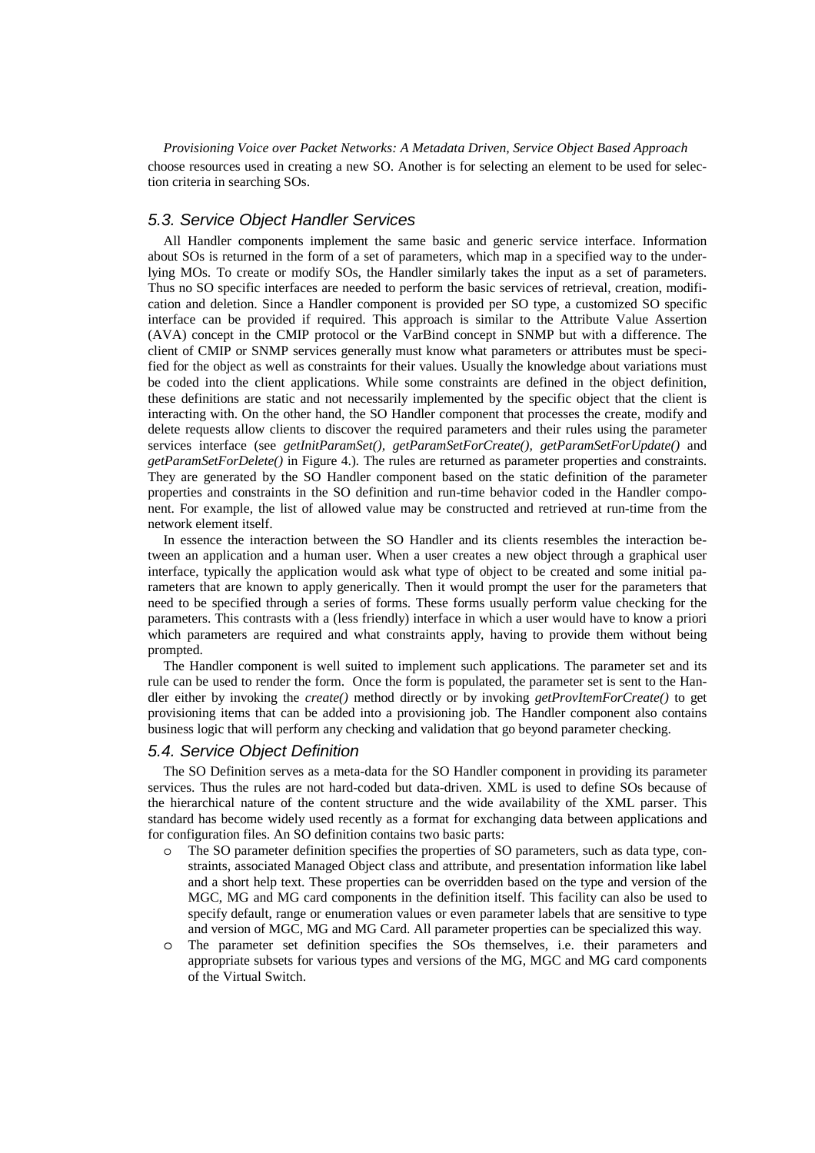*Provisioning Voice over Packet Networks: A Metadata Driven, Service Object Based Approach* choose resources used in creating a new SO. Another is for selecting an element to be used for selection criteria in searching SOs.

### *5.3. Service Object Handler Services*

All Handler components implement the same basic and generic service interface. Information about SOs is returned in the form of a set of parameters, which map in a specified way to the underlying MOs. To create or modify SOs, the Handler similarly takes the input as a set of parameters. Thus no SO specific interfaces are needed to perform the basic services of retrieval, creation, modification and deletion. Since a Handler component is provided per SO type, a customized SO specific interface can be provided if required. This approach is similar to the Attribute Value Assertion (AVA) concept in the CMIP protocol or the VarBind concept in SNMP but with a difference. The client of CMIP or SNMP services generally must know what parameters or attributes must be specified for the object as well as constraints for their values. Usually the knowledge about variations must be coded into the client applications. While some constraints are defined in the object definition, these definitions are static and not necessarily implemented by the specific object that the client is interacting with. On the other hand, the SO Handler component that processes the create, modify and delete requests allow clients to discover the required parameters and their rules using the parameter services interface (see *getInitParamSet(), getParamSetForCreate(), getParamSetForUpdate()* and *getParamSetForDelete()* in Figure 4.)*.* The rules are returned as parameter properties and constraints. They are generated by the SO Handler component based on the static definition of the parameter properties and constraints in the SO definition and run-time behavior coded in the Handler component. For example, the list of allowed value may be constructed and retrieved at run-time from the network element itself.

In essence the interaction between the SO Handler and its clients resembles the interaction between an application and a human user. When a user creates a new object through a graphical user interface, typically the application would ask what type of object to be created and some initial parameters that are known to apply generically. Then it would prompt the user for the parameters that need to be specified through a series of forms. These forms usually perform value checking for the parameters. This contrasts with a (less friendly) interface in which a user would have to know a priori which parameters are required and what constraints apply, having to provide them without being prompted.

The Handler component is well suited to implement such applications. The parameter set and its rule can be used to render the form. Once the form is populated, the parameter set is sent to the Handler either by invoking the *create()* method directly or by invoking *getProvItemForCreate()* to get provisioning items that can be added into a provisioning job. The Handler component also contains business logic that will perform any checking and validation that go beyond parameter checking.

#### *5.4. Service Object Definition*

The SO Definition serves as a meta-data for the SO Handler component in providing its parameter services. Thus the rules are not hard-coded but data-driven. XML is used to define SOs because of the hierarchical nature of the content structure and the wide availability of the XML parser. This standard has become widely used recently as a format for exchanging data between applications and for configuration files. An SO definition contains two basic parts:

- o The SO parameter definition specifies the properties of SO parameters, such as data type, constraints, associated Managed Object class and attribute, and presentation information like label and a short help text. These properties can be overridden based on the type and version of the MGC, MG and MG card components in the definition itself. This facility can also be used to specify default, range or enumeration values or even parameter labels that are sensitive to type and version of MGC, MG and MG Card. All parameter properties can be specialized this way.
- o The parameter set definition specifies the SOs themselves, i.e. their parameters and appropriate subsets for various types and versions of the MG, MGC and MG card components of the Virtual Switch.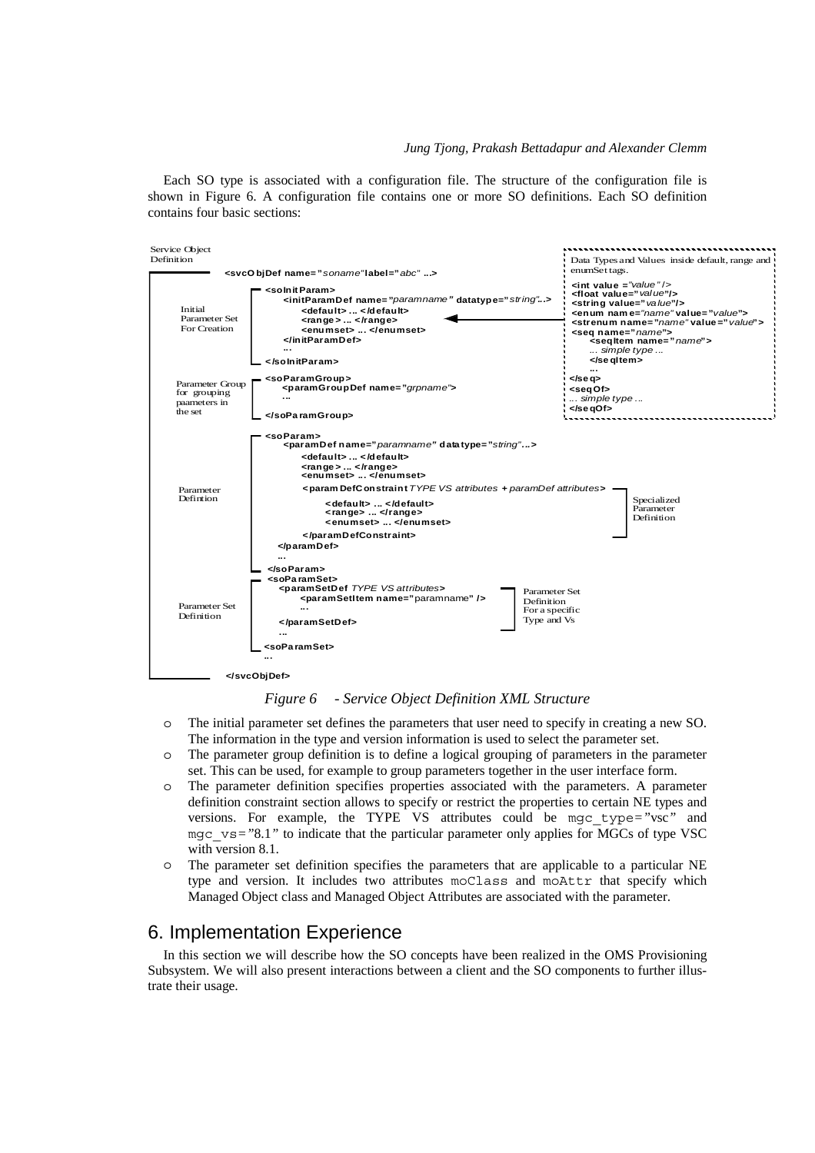Each SO type is associated with a configuration file. The structure of the configuration file is shown in Figure 6. A configuration file contains one or more SO definitions. Each SO definition contains four basic sections:



*Figure 6 - Service Object Definition XML Structure* 

- o The initial parameter set defines the parameters that user need to specify in creating a new SO. The information in the type and version information is used to select the parameter set.
- o The parameter group definition is to define a logical grouping of parameters in the parameter set. This can be used, for example to group parameters together in the user interface form.
- o The parameter definition specifies properties associated with the parameters. A parameter definition constraint section allows to specify or restrict the properties to certain NE types and versions. For example, the TYPE VS attributes could be mgc\_type*="*vsc*"* and mgc\_vs*="*8.1*"* to indicate that the particular parameter only applies for MGCs of type VSC with version 8.1.
- o The parameter set definition specifies the parameters that are applicable to a particular NE type and version. It includes two attributes moClass and moAttr that specify which Managed Object class and Managed Object Attributes are associated with the parameter.

# 6. Implementation Experience

In this section we will describe how the SO concepts have been realized in the OMS Provisioning Subsystem. We will also present interactions between a client and the SO components to further illustrate their usage.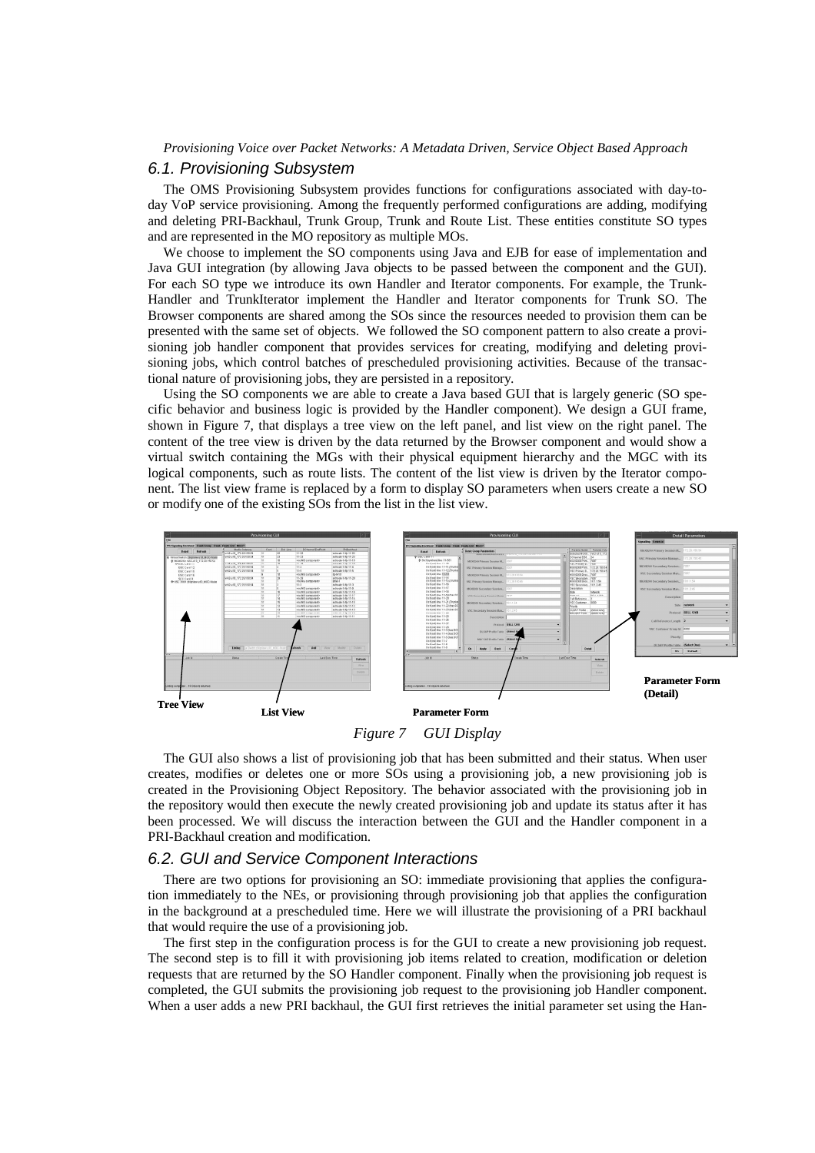#### *6.1. Provisioning Subsystem*

The OMS Provisioning Subsystem provides functions for configurations associated with day-today VoP service provisioning. Among the frequently performed configurations are adding, modifying and deleting PRI-Backhaul, Trunk Group, Trunk and Route List. These entities constitute SO types and are represented in the MO repository as multiple MOs.

We choose to implement the SO components using Java and EJB for ease of implementation and Java GUI integration (by allowing Java objects to be passed between the component and the GUI). For each SO type we introduce its own Handler and Iterator components. For example, the Trunk-Handler and TrunkIterator implement the Handler and Iterator components for Trunk SO. The Browser components are shared among the SOs since the resources needed to provision them can be presented with the same set of objects. We followed the SO component pattern to also create a provisioning job handler component that provides services for creating, modifying and deleting provisioning jobs, which control batches of prescheduled provisioning activities. Because of the transactional nature of provisioning jobs, they are persisted in a repository.

Using the SO components we are able to create a Java based GUI that is largely generic (SO specific behavior and business logic is provided by the Handler component). We design a GUI frame, shown in Figure 7, that displays a tree view on the left panel, and list view on the right panel. The content of the tree view is driven by the data returned by the Browser component and would show a virtual switch containing the MGs with their physical equipment hierarchy and the MGC with its logical components, such as route lists. The content of the list view is driven by the Iterator component. The list view frame is replaced by a form to display SO parameters when users create a new SO or modify one of the existing SOs from the list in the list view.



*Figure 7 GUI Display* 

The GUI also shows a list of provisioning job that has been submitted and their status. When user creates, modifies or deletes one or more SOs using a provisioning job, a new provisioning job is created in the Provisioning Object Repository. The behavior associated with the provisioning job in the repository would then execute the newly created provisioning job and update its status after it has been processed. We will discuss the interaction between the GUI and the Handler component in a PRI-Backhaul creation and modification.

#### *6.2. GUI and Service Component Interactions*

There are two options for provisioning an SO: immediate provisioning that applies the configuration immediately to the NEs, or provisioning through provisioning job that applies the configuration in the background at a prescheduled time. Here we will illustrate the provisioning of a PRI backhaul that would require the use of a provisioning job.

The first step in the configuration process is for the GUI to create a new provisioning job request. The second step is to fill it with provisioning job items related to creation, modification or deletion requests that are returned by the SO Handler component. Finally when the provisioning job request is completed, the GUI submits the provisioning job request to the provisioning job Handler component. When a user adds a new PRI backhaul, the GUI first retrieves the initial parameter set using the Han